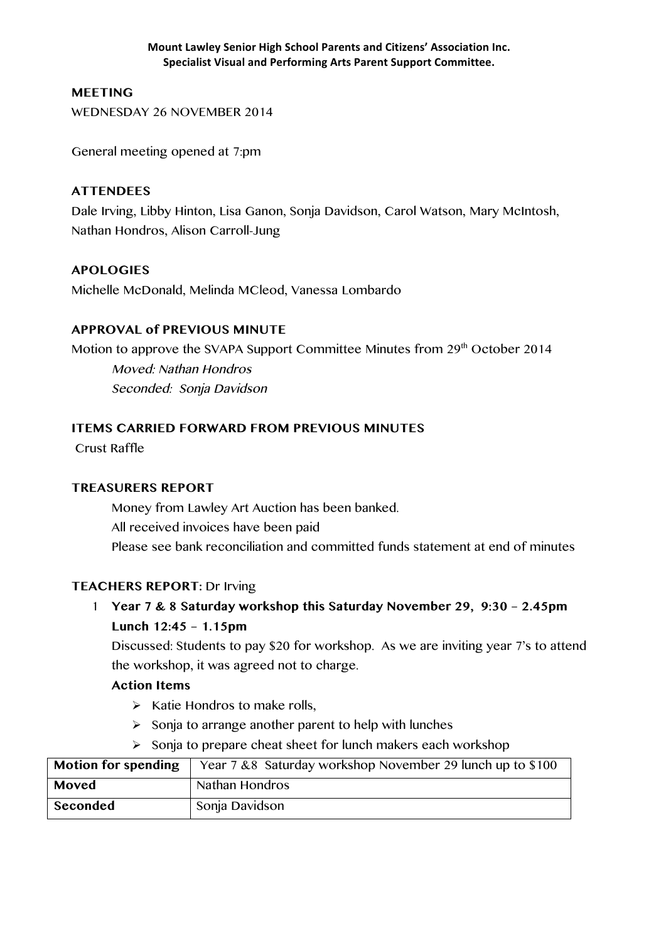# **MEETING**

WEDNESDAY 26 NOVEMBER 2014

General meeting opened at 7:pm

### **ATTENDEES**

Dale Irving, Libby Hinton, Lisa Ganon, Sonja Davidson, Carol Watson, Mary McIntosh, Nathan Hondros, Alison Carroll-Jung

### **APOLOGIES**

Michelle McDonald, Melinda MCleod, Vanessa Lombardo

### **APPROVAL of PREVIOUS MINUTE**

Motion to approve the SVAPA Support Committee Minutes from 29<sup>th</sup> October 2014

Moved: Nathan Hondros Seconded: Sonja Davidson

### **ITEMS CARRIED FORWARD FROM PREVIOUS MINUTES**

Crust Raffle

### **TREASURERS REPORT**

Money from Lawley Art Auction has been banked. All received invoices have been paid Please see bank reconciliation and committed funds statement at end of minutes

#### **TEACHERS REPORT:** Dr Irving

# 1 **Year 7 & 8 Saturday workshop this Saturday November 29, 9:30 – 2.45pm Lunch 12:45 – 1.15pm**

Discussed: Students to pay \$20 for workshop. As we are inviting year 7's to attend the workshop, it was agreed not to charge.

# **Action Items**

- $\triangleright$  Katie Hondros to make rolls,
- $\triangleright$  Sonja to arrange another parent to help with lunches
- $\triangleright$  Sonja to prepare cheat sheet for lunch makers each workshop

| Motion for spending | Year 7 &8 Saturday workshop November 29 lunch up to \$100 |
|---------------------|-----------------------------------------------------------|
| Moved               | Nathan Hondros                                            |
| Seconded            | Sonja Davidson                                            |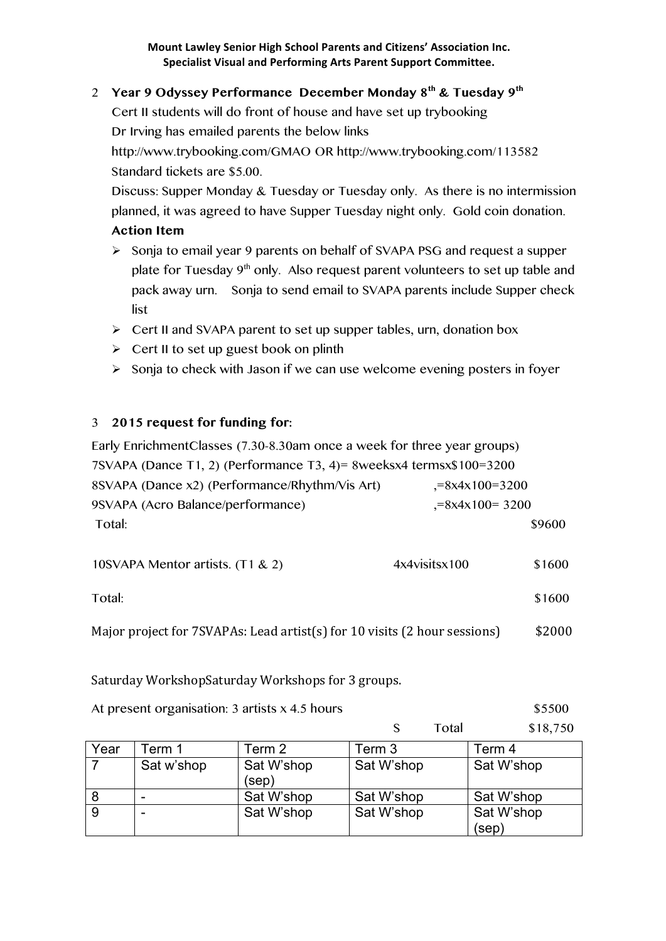# 2 **Year 9 Odyssey Performance December Monday 8th & Tuesday 9th**

Cert II students will do front of house and have set up trybooking Dr Irving has emailed parents the below links

http://www.trybooking.com/GMAO OR http://www.trybooking.com/113582 Standard tickets are \$5.00.

Discuss: Supper Monday & Tuesday or Tuesday only. As there is no intermission planned, it was agreed to have Supper Tuesday night only. Gold coin donation.

# **Action Item**

- $\geq$  Sonja to email year 9 parents on behalf of SVAPA PSG and request a supper plate for Tuesday 9<sup>th</sup> only. Also request parent volunteers to set up table and pack away urn. Sonja to send email to SVAPA parents include Supper check list
- $\triangleright$  Cert II and SVAPA parent to set up supper tables, urn, donation box
- $\triangleright$  Cert II to set up guest book on plinth
- $\triangleright$  Sonja to check with Jason if we can use welcome evening posters in foyer

# 3 **2015 request for funding for:**

| Early Enrichment Classes (7.30-8.30am once a week for three year groups)  |                      |        |  |  |  |  |  |
|---------------------------------------------------------------------------|----------------------|--------|--|--|--|--|--|
| 7SVAPA (Dance T1, 2) (Performance T3, 4)= 8weeksx4 termsx\$100=3200       |                      |        |  |  |  |  |  |
| 8SVAPA (Dance x2) (Performance/Rhythm/Vis Art)<br>$, = 8x4x100=3200$      |                      |        |  |  |  |  |  |
| 9SVAPA (Acro Balance/performance)                                         | $, = 8x4x100 = 3200$ |        |  |  |  |  |  |
| Total:                                                                    |                      | \$9600 |  |  |  |  |  |
|                                                                           |                      |        |  |  |  |  |  |
| 10SVAPA Mentor artists. (T1 & 2)                                          | 4x4visitsx100        | \$1600 |  |  |  |  |  |
|                                                                           |                      |        |  |  |  |  |  |
| Total:                                                                    |                      | \$1600 |  |  |  |  |  |
| Major project for 7SVAPAs: Lead artist(s) for 10 visits (2 hour sessions) |                      | \$2000 |  |  |  |  |  |

Saturday WorkshopSaturday Workshops for 3 groups.

At present organisation:  $3$  artists  $x$  4.5 hours  $$5500$ 

|      |                          |                     | l Otal     | \$18,750   |
|------|--------------------------|---------------------|------------|------------|
| Year | Term 1                   | Term 2              | Term 3     | Term 4     |
|      | Sat w'shop               | Sat W'shop<br>(sep) | Sat W'shop | Sat W'shop |
| 8    | $\overline{\phantom{0}}$ | Sat W'shop          | Sat W'shop | Sat W'shop |
| -9   | -                        | Sat W'shop          | Sat W'shop | Sat W'shop |
|      |                          |                     |            | (sep)      |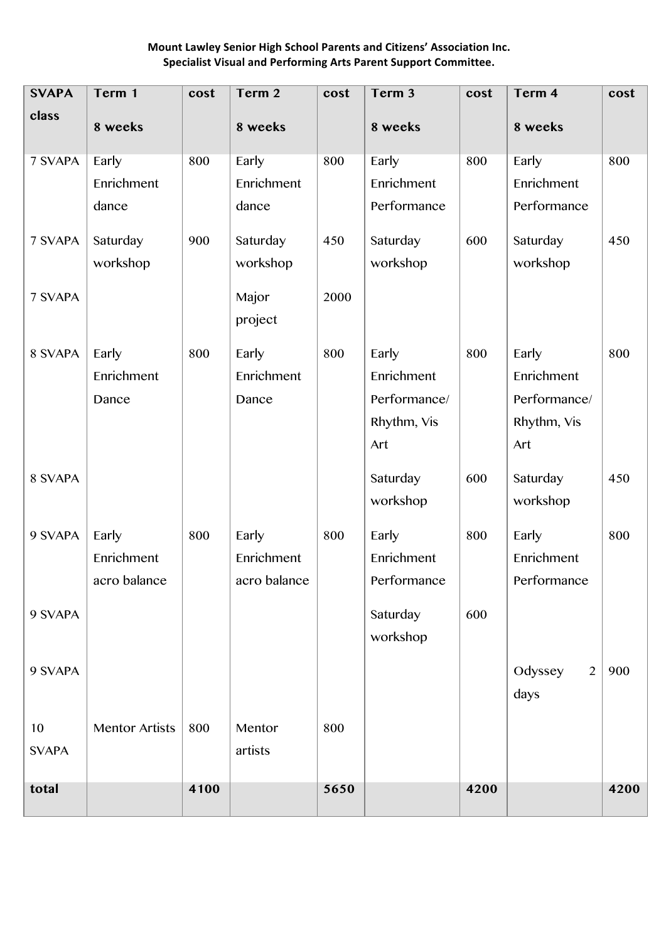| <b>SVAPA</b> | Term 1                | cost | Term 2       | cost | Term 3       | cost | Term 4       | cost |
|--------------|-----------------------|------|--------------|------|--------------|------|--------------|------|
| class        | 8 weeks               |      | 8 weeks      |      | 8 weeks      |      | 8 weeks      |      |
| 7 SVAPA      | Early                 | 800  | Early        | 800  | Early        | 800  | Early        | 800  |
|              | Enrichment            |      | Enrichment   |      | Enrichment   |      | Enrichment   |      |
|              | dance                 |      | dance        |      | Performance  |      | Performance  |      |
|              |                       |      |              |      |              |      |              |      |
| 7 SVAPA      | Saturday              | 900  | Saturday     | 450  | Saturday     | 600  | Saturday     | 450  |
|              | workshop              |      | workshop     |      | workshop     |      | workshop     |      |
| 7 SVAPA      |                       |      | Major        | 2000 |              |      |              |      |
|              |                       |      | project      |      |              |      |              |      |
|              |                       |      |              |      |              |      |              |      |
| 8 SVAPA      | Early                 | 800  | Early        | 800  | Early        | 800  | Early        | 800  |
|              | Enrichment            |      | Enrichment   |      | Enrichment   |      | Enrichment   |      |
|              | Dance                 |      | Dance        |      | Performance/ |      | Performance/ |      |
|              |                       |      |              |      | Rhythm, Vis  |      | Rhythm, Vis  |      |
|              |                       |      |              |      | Art          |      | Art          |      |
| 8 SVAPA      |                       |      |              |      | Saturday     | 600  | Saturday     | 450  |
|              |                       |      |              |      | workshop     |      | workshop     |      |
| 9 SVAPA      | Early                 | 800  | Early        | 800  | Early        | 800  | Early        | 800  |
|              | Enrichment            |      | Enrichment   |      | Enrichment   |      | Enrichment   |      |
|              | acro balance          |      | acro balance |      | Performance  |      | Performance  |      |
| 9 SVAPA      |                       |      |              |      | Saturday     | 600  |              |      |
|              |                       |      |              |      | workshop     |      |              |      |
|              |                       |      |              |      |              |      |              |      |
| 9 SVAPA      |                       |      |              |      |              |      | Odyssey<br>2 | 900  |
|              |                       |      |              |      |              |      | days         |      |
| 10           | <b>Mentor Artists</b> | 800  | Mentor       | 800  |              |      |              |      |
| <b>SVAPA</b> |                       |      | artists      |      |              |      |              |      |
|              |                       |      |              |      |              |      |              |      |
| total        |                       | 4100 |              | 5650 |              | 4200 |              | 4200 |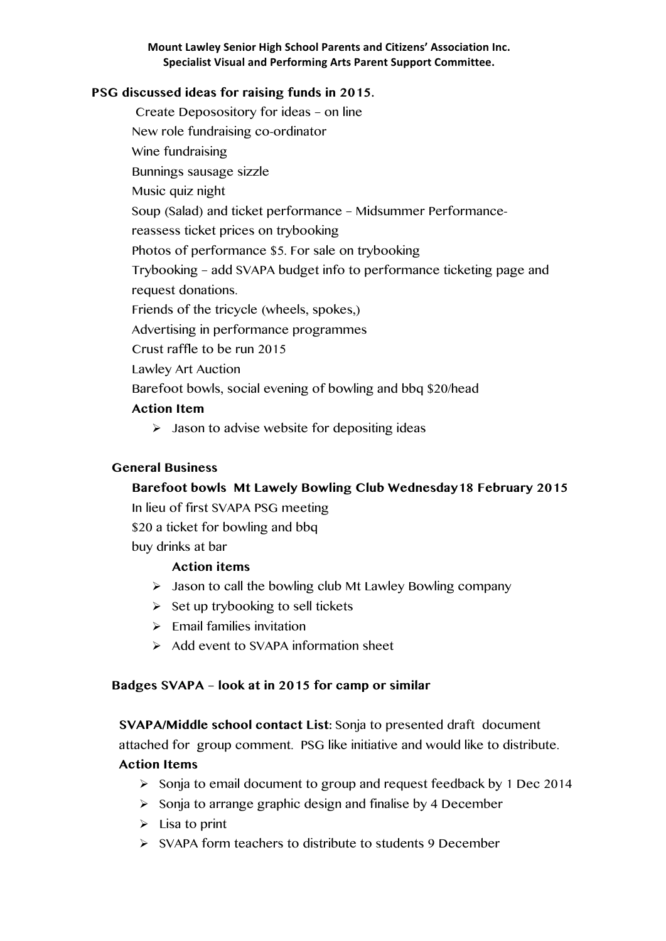### **PSG discussed ideas for raising funds in 2015.**

 Create Deposository for ideas – on line New role fundraising co-ordinator Wine fundraising Bunnings sausage sizzle Music quiz night Soup (Salad) and ticket performance – Midsummer Performancereassess ticket prices on trybooking Photos of performance \$5. For sale on trybooking Trybooking – add SVAPA budget info to performance ticketing page and request donations. Friends of the tricycle (wheels, spokes,) Advertising in performance programmes Crust raffle to be run 2015 Lawley Art Auction Barefoot bowls, social evening of bowling and bbq \$20/head

### **Action Item**

 $\triangleright$  Jason to advise website for depositing ideas

### **General Business**

### **Barefoot bowls Mt Lawely Bowling Club Wednesday18 February 2015**

In lieu of first SVAPA PSG meeting

\$20 a ticket for bowling and bbq

buy drinks at bar

### **Action items**

- $\triangleright$  Jason to call the bowling club Mt Lawley Bowling company
- $\triangleright$  Set up trybooking to sell tickets
- $\triangleright$  Fmail families invitation
- $\triangleright$  Add event to SVAPA information sheet

### **Badges SVAPA – look at in 2015 for camp or similar**

**SVAPA/Middle school contact List:** Sonja to presented draft document attached for group comment. PSG like initiative and would like to distribute. **Action Items**

- $\geq$  Sonja to email document to group and request feedback by 1 Dec 2014
- $\triangleright$  Sonja to arrange graphic design and finalise by 4 December
- $\triangleright$  Lisa to print
- $\triangleright$  SVAPA form teachers to distribute to students 9 December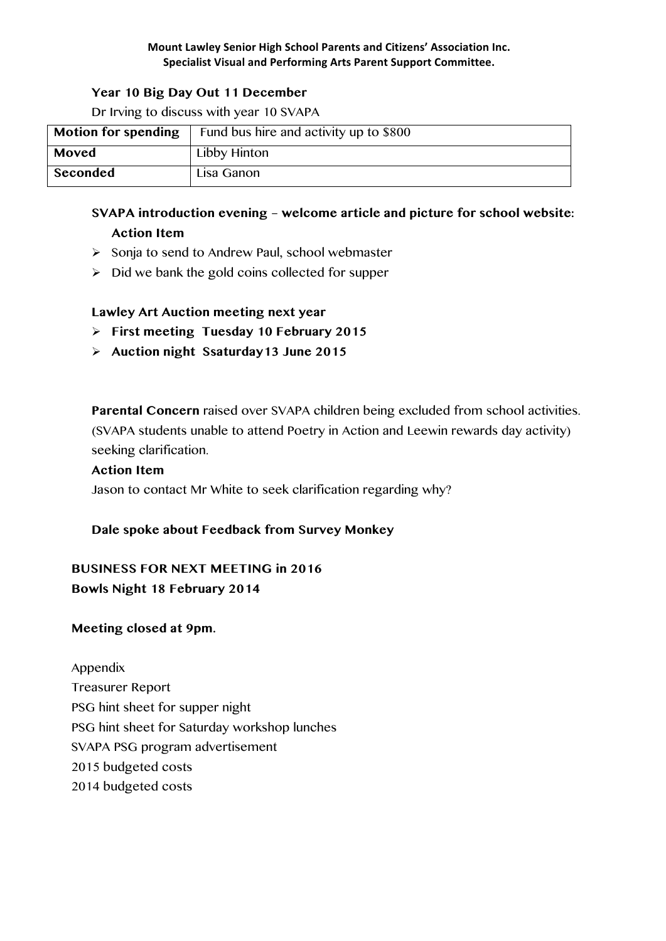### **Year 10 Big Day Out 11 December**

Dr Irving to discuss with year 10 SVAPA

| <b>Motion for spending</b> | Fund bus hire and activity up to \$800 |
|----------------------------|----------------------------------------|
| Moved                      | Libby Hinton                           |
| Seconded                   | Lisa Ganon                             |

# **SVAPA introduction evening – welcome article and picture for school website: Action Item**

- $\triangleright$  Sonja to send to Andrew Paul, school webmaster
- $\triangleright$  Did we bank the gold coins collected for supper

### **Lawley Art Auction meeting next year**

- **First meeting Tuesday 10 February 2015**
- **Auction night Ssaturday13 June 2015**

**Parental Concern** raised over SVAPA children being excluded from school activities. (SVAPA students unable to attend Poetry in Action and Leewin rewards day activity) seeking clarification.

#### **Action Item**

Jason to contact Mr White to seek clarification regarding why?

### **Dale spoke about Feedback from Survey Monkey**

# **BUSINESS FOR NEXT MEETING in 2016 Bowls Night 18 February 2014**

#### **Meeting closed at 9pm.**

Appendix Treasurer Report PSG hint sheet for supper night PSG hint sheet for Saturday workshop lunches SVAPA PSG program advertisement 2015 budgeted costs 2014 budgeted costs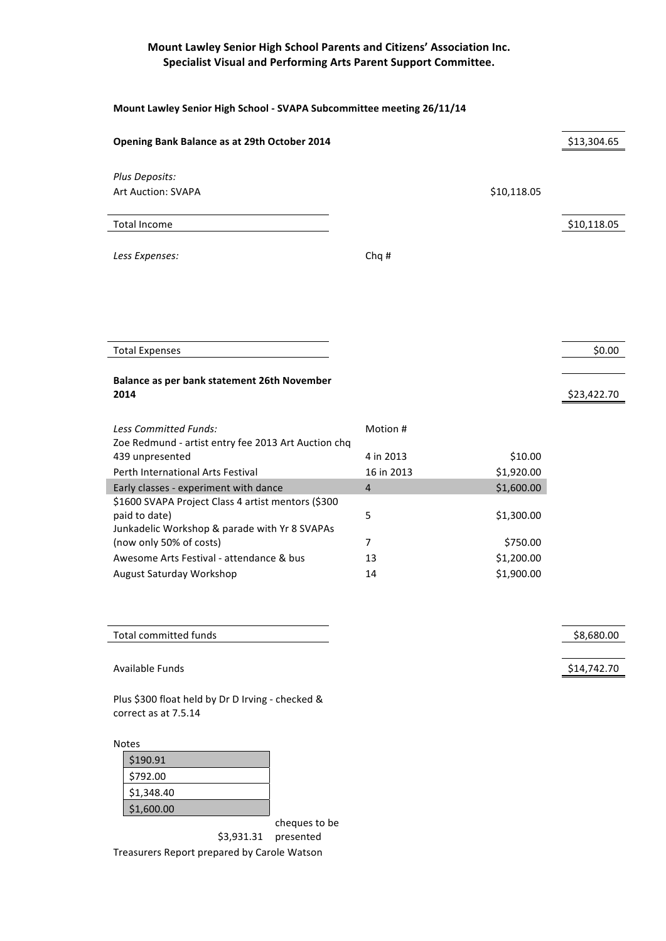Mount Lawley Senior High School - SVAPA Subcommittee meeting 26/11/14

| Opening Bank Balance as at 29th October 2014                                                                                                                                                                                                      |                                             |                                                    | \$13,304.65 |
|---------------------------------------------------------------------------------------------------------------------------------------------------------------------------------------------------------------------------------------------------|---------------------------------------------|----------------------------------------------------|-------------|
|                                                                                                                                                                                                                                                   |                                             |                                                    |             |
| Plus Deposits:                                                                                                                                                                                                                                    |                                             |                                                    |             |
| <b>Art Auction: SVAPA</b>                                                                                                                                                                                                                         |                                             | \$10,118.05                                        |             |
|                                                                                                                                                                                                                                                   |                                             |                                                    |             |
| <b>Total Income</b>                                                                                                                                                                                                                               |                                             |                                                    | \$10,118.05 |
|                                                                                                                                                                                                                                                   |                                             |                                                    |             |
| Less Expenses:                                                                                                                                                                                                                                    | Chq#                                        |                                                    |             |
|                                                                                                                                                                                                                                                   |                                             |                                                    |             |
|                                                                                                                                                                                                                                                   |                                             |                                                    |             |
|                                                                                                                                                                                                                                                   |                                             |                                                    |             |
|                                                                                                                                                                                                                                                   |                                             |                                                    |             |
|                                                                                                                                                                                                                                                   |                                             |                                                    |             |
| <b>Total Expenses</b>                                                                                                                                                                                                                             |                                             |                                                    | \$0.00      |
|                                                                                                                                                                                                                                                   |                                             |                                                    |             |
| Balance as per bank statement 26th November<br>2014                                                                                                                                                                                               |                                             |                                                    | \$23,422.70 |
|                                                                                                                                                                                                                                                   |                                             |                                                    |             |
|                                                                                                                                                                                                                                                   |                                             |                                                    |             |
|                                                                                                                                                                                                                                                   |                                             |                                                    |             |
| 439 unpresented                                                                                                                                                                                                                                   | 4 in 2013                                   | \$10.00                                            |             |
| Perth International Arts Festival                                                                                                                                                                                                                 | 16 in 2013                                  | \$1,920.00                                         |             |
| Early classes - experiment with dance                                                                                                                                                                                                             | $\overline{4}$                              | \$1,600.00                                         |             |
| \$1600 SVAPA Project Class 4 artist mentors (\$300                                                                                                                                                                                                |                                             |                                                    |             |
|                                                                                                                                                                                                                                                   |                                             |                                                    |             |
|                                                                                                                                                                                                                                                   |                                             |                                                    |             |
|                                                                                                                                                                                                                                                   |                                             |                                                    |             |
|                                                                                                                                                                                                                                                   |                                             |                                                    |             |
|                                                                                                                                                                                                                                                   |                                             |                                                    |             |
| Less Committed Funds:<br>Zoe Redmund - artist entry fee 2013 Art Auction chq<br>paid to date)<br>Junkadelic Workshop & parade with Yr 8 SVAPAs<br>(now only 50% of costs)<br>Awesome Arts Festival - attendance & bus<br>August Saturday Workshop | Motion #<br>5<br>$\overline{7}$<br>13<br>14 | \$1,300.00<br>\$750.00<br>\$1,200.00<br>\$1,900.00 |             |

Total committed funds  $$8,680.00$ 

Available Funds \$14,742.70

Plus \$300 float held by Dr D Irving - checked & correct as at 7.5.14

Notes

| \$190.91   |
|------------|
| \$792.00   |
| \$1,348.40 |
| \$1,600.00 |

cheques to be

\$3,931.31 presented 

Treasurers Report prepared by Carole Watson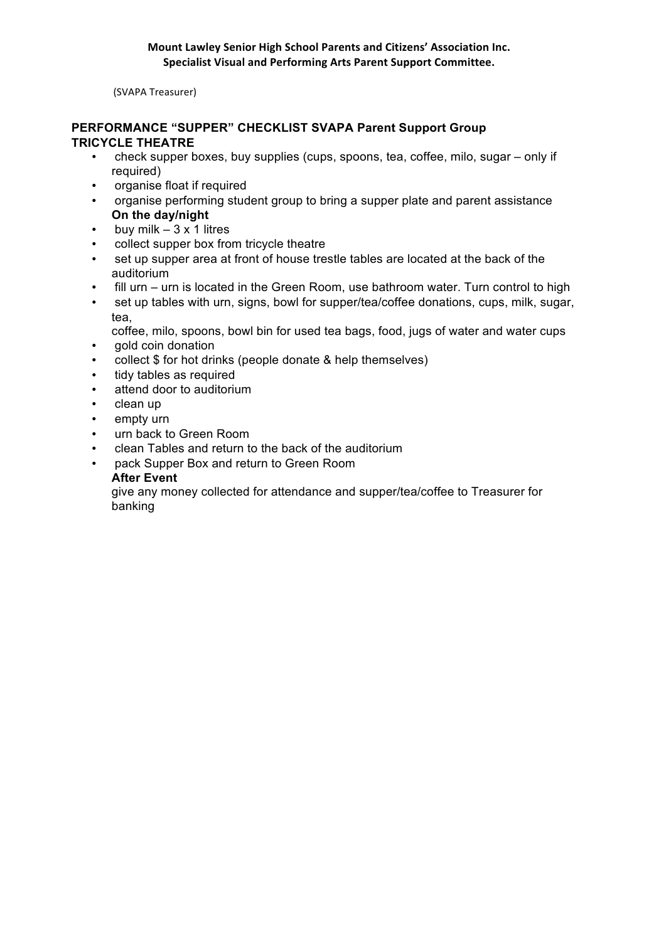(SVAPA Treasurer)

### **PERFORMANCE "SUPPER" CHECKLIST SVAPA Parent Support Group TRICYCLE THEATRE**

- check supper boxes, buy supplies (cups, spoons, tea, coffee, milo, sugar only if required)
- organise float if required
- organise performing student group to bring a supper plate and parent assistance **On the day/night**
- buy milk  $-3 \times 1$  litres
- collect supper box from tricycle theatre
- set up supper area at front of house trestle tables are located at the back of the auditorium
- fill urn urn is located in the Green Room, use bathroom water. Turn control to high
- set up tables with urn, signs, bowl for supper/tea/coffee donations, cups, milk, sugar, tea,

coffee, milo, spoons, bowl bin for used tea bags, food, jugs of water and water cups • gold coin donation

- collect \$ for hot drinks (people donate & help themselves)
- tidy tables as required
- attend door to auditorium
- clean up
- empty urn
- urn back to Green Room
- clean Tables and return to the back of the auditorium
- pack Supper Box and return to Green Room

### **After Event**

give any money collected for attendance and supper/tea/coffee to Treasurer for banking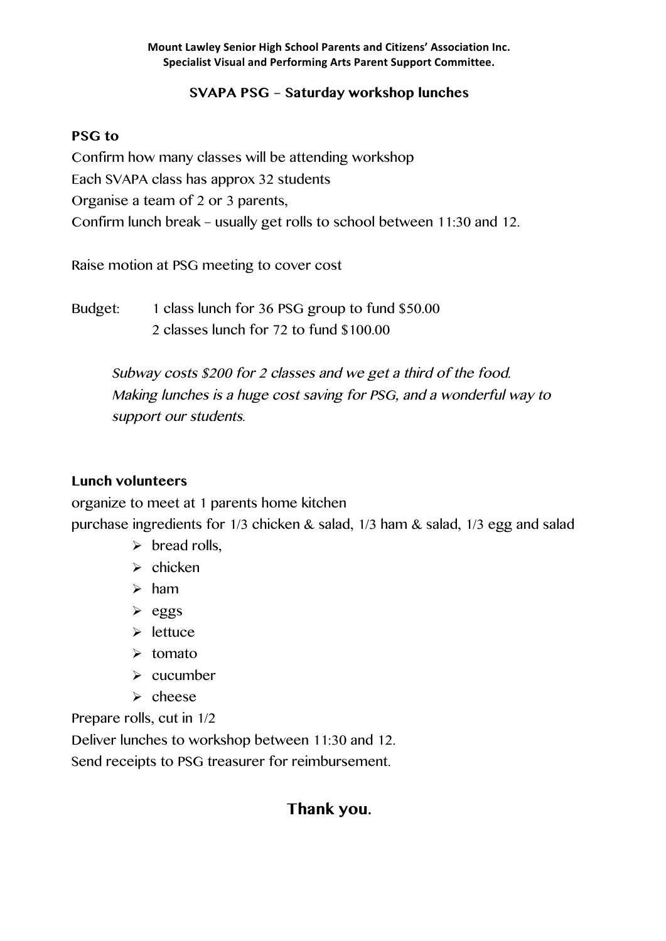# **SVAPA PSG – Saturday workshop lunches**

# **PSG to**

Confirm how many classes will be attending workshop Each SVAPA class has approx 32 students Organise a team of 2 or 3 parents, Confirm lunch break – usually get rolls to school between 11:30 and 12.

Raise motion at PSG meeting to cover cost

Budget: 1 class lunch for 36 PSG group to fund \$50.00 2 classes lunch for 72 to fund \$100.00

> Subway costs \$200 for 2 classes and we get a third of the food. Making lunches is a huge cost saving for PSG, and a wonderful way to support our students.

# **Lunch volunteers**

organize to meet at 1 parents home kitchen purchase ingredients for 1/3 chicken & salad, 1/3 ham & salad, 1/3 egg and salad

- $\triangleright$  bread rolls.
- $\triangleright$  chicken
- $\triangleright$  ham
- $\ge$  eggs
- $\triangleright$  lettuce
- $\triangleright$  tomato
- $\triangleright$  cucumber
- $\triangleright$  cheese

Prepare rolls, cut in 1/2

Deliver lunches to workshop between 11:30 and 12.

Send receipts to PSG treasurer for reimbursement.

# **Thank you.**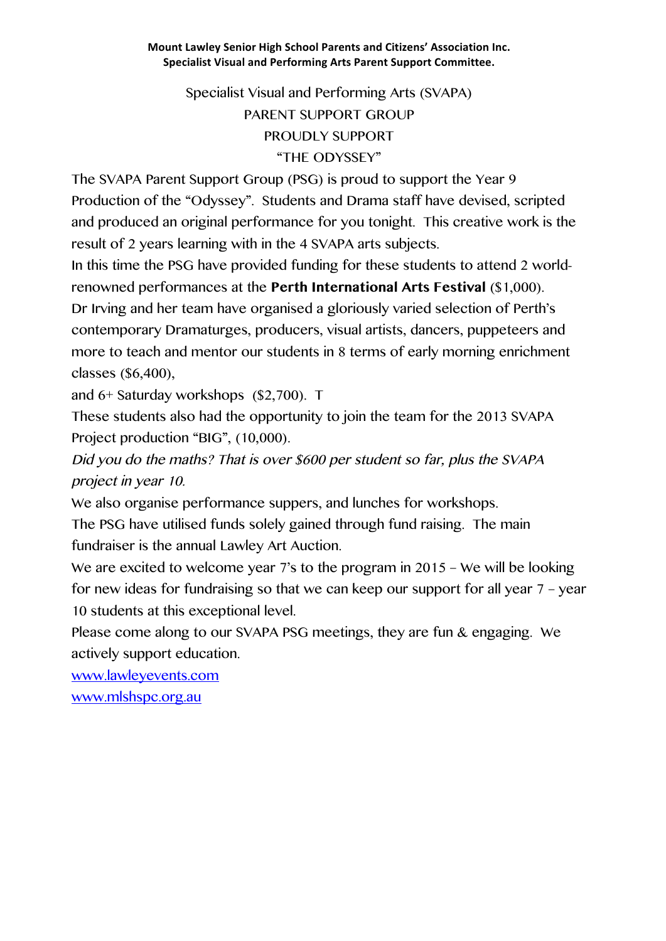# Specialist Visual and Performing Arts (SVAPA) PARENT SUPPORT GROUP PROUDLY SUPPORT "THE ODYSSEY"

The SVAPA Parent Support Group (PSG) is proud to support the Year 9 Production of the "Odyssey". Students and Drama staff have devised, scripted and produced an original performance for you tonight. This creative work is the result of 2 years learning with in the 4 SVAPA arts subjects.

In this time the PSG have provided funding for these students to attend 2 worldrenowned performances at the **Perth International Arts Festival** (\$1,000).

Dr Irving and her team have organised a gloriously varied selection of Perth's contemporary Dramaturges, producers, visual artists, dancers, puppeteers and more to teach and mentor our students in 8 terms of early morning enrichment classes (\$6,400),

and 6+ Saturday workshops (\$2,700). T

These students also had the opportunity to join the team for the 2013 SVAPA Project production "BIG", (10,000).

Did you do the maths? That is over \$600 per student so far, plus the SVAPA project in year 10.

We also organise performance suppers, and lunches for workshops.

The PSG have utilised funds solely gained through fund raising. The main fundraiser is the annual Lawley Art Auction.

We are excited to welcome year 7's to the program in 2015 – We will be looking for new ideas for fundraising so that we can keep our support for all year 7 – year 10 students at this exceptional level.

Please come along to our SVAPA PSG meetings, they are fun & engaging. We actively support education.

www.lawleyevents.com www.mlshspc.org.au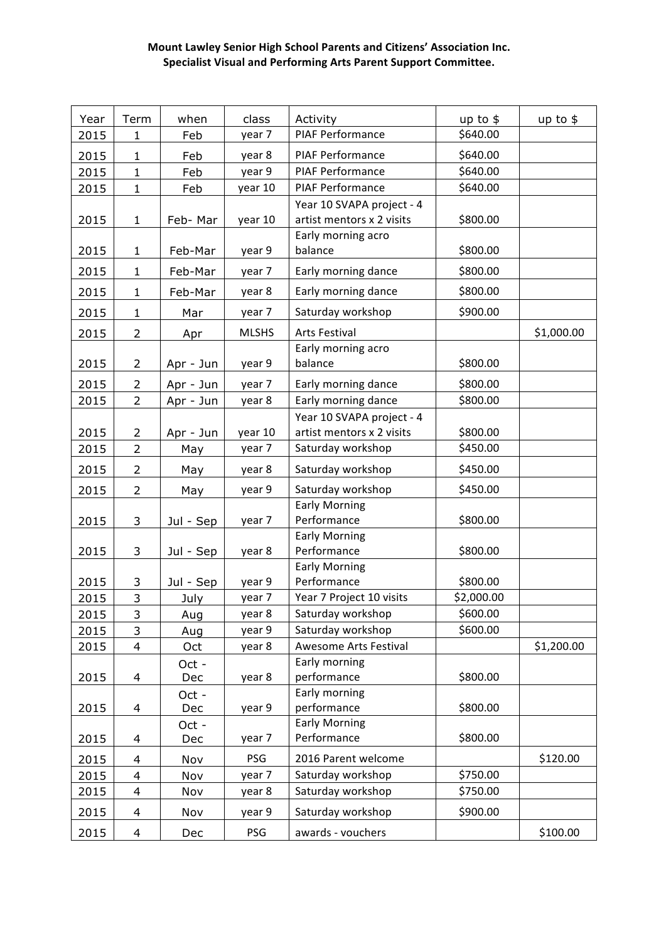| Year | Term                    | when      | class        | Activity                            | $up$ to $$$ | up to $$$  |
|------|-------------------------|-----------|--------------|-------------------------------------|-------------|------------|
| 2015 | $\mathbf{1}$            | Feb       | year 7       | PIAF Performance                    | \$640.00    |            |
| 2015 | $\mathbf{1}$            | Feb       | year 8       | PIAF Performance                    | \$640.00    |            |
| 2015 | $\mathbf{1}$            | Feb       | year 9       | PIAF Performance                    | \$640.00    |            |
| 2015 | $\mathbf{1}$            | Feb       | year 10      | PIAF Performance                    | \$640.00    |            |
|      |                         |           |              | Year 10 SVAPA project - 4           |             |            |
| 2015 | $\mathbf{1}$            | Feb-Mar   | year 10      | artist mentors x 2 visits           | \$800.00    |            |
|      |                         |           |              | Early morning acro                  |             |            |
| 2015 | $\mathbf{1}$            | Feb-Mar   | year 9       | balance                             | \$800.00    |            |
| 2015 | $\mathbf{1}$            | Feb-Mar   | year 7       | Early morning dance                 | \$800.00    |            |
| 2015 | $\mathbf{1}$            | Feb-Mar   | year 8       | Early morning dance                 | \$800.00    |            |
| 2015 | $\mathbf{1}$            | Mar       | year 7       | Saturday workshop                   | \$900.00    |            |
| 2015 | $\overline{2}$          | Apr       | <b>MLSHS</b> | Arts Festival                       |             | \$1,000.00 |
|      |                         |           |              | Early morning acro                  |             |            |
| 2015 | $\overline{2}$          | Apr - Jun | year 9       | balance                             | \$800.00    |            |
| 2015 | $\overline{2}$          | Apr - Jun | year 7       | Early morning dance                 | \$800.00    |            |
| 2015 | $\overline{2}$          | Apr - Jun | year 8       | Early morning dance                 | \$800.00    |            |
|      |                         |           |              | Year 10 SVAPA project - 4           |             |            |
| 2015 | $\overline{2}$          | Apr - Jun | year 10      | artist mentors x 2 visits           | \$800.00    |            |
| 2015 | $\overline{2}$          | May       | year 7       | Saturday workshop                   | \$450.00    |            |
| 2015 | $\overline{2}$          | May       | year 8       | Saturday workshop                   | \$450.00    |            |
| 2015 | $\overline{2}$          | May       | year 9       | Saturday workshop                   | \$450.00    |            |
|      |                         |           |              | <b>Early Morning</b>                |             |            |
| 2015 | 3                       | Jul - Sep | year 7       | Performance                         | \$800.00    |            |
|      |                         |           |              | <b>Early Morning</b>                |             |            |
| 2015 | 3                       | Jul - Sep | year 8       | Performance<br><b>Early Morning</b> | \$800.00    |            |
| 2015 | 3                       | Jul - Sep | year 9       | Performance                         | \$800.00    |            |
| 2015 | 3                       | July      | year 7       | Year 7 Project 10 visits            | \$2,000.00  |            |
| 2015 | 3                       | Aug       | year 8       | Saturday workshop                   | \$600.00    |            |
| 2015 | 3                       | Aug       | year 9       | Saturday workshop                   | \$600.00    |            |
| 2015 | $\overline{\mathbf{4}}$ | Oct       | year 8       | Awesome Arts Festival               |             | \$1,200.00 |
|      |                         | Oct -     |              | Early morning                       |             |            |
| 2015 | 4                       | Dec       | year 8       | performance                         | \$800.00    |            |
|      |                         | Oct -     |              | Early morning                       |             |            |
| 2015 | 4                       | Dec       | year 9       | performance                         | \$800.00    |            |
|      |                         | Oct -     |              | <b>Early Morning</b>                |             |            |
| 2015 | 4                       | Dec       | year 7       | Performance                         | \$800.00    |            |
| 2015 | 4                       | Nov       | PSG          | 2016 Parent welcome                 |             | \$120.00   |
| 2015 | 4                       | Nov       | year 7       | Saturday workshop                   | \$750.00    |            |
| 2015 | 4                       | Nov       | year 8       | Saturday workshop                   | \$750.00    |            |
| 2015 | 4                       | Nov       | year 9       | Saturday workshop                   | \$900.00    |            |
| 2015 | 4                       | Dec       | PSG          | awards - vouchers                   |             | \$100.00   |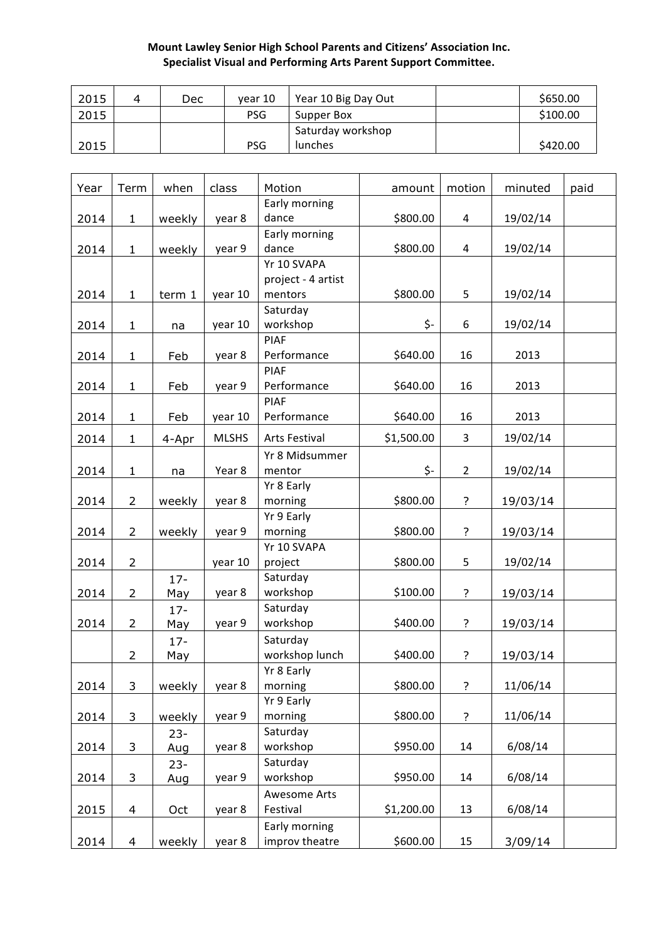| 2015 | Dec | vear 10    | Year 10 Big Day Out | \$650.00 |
|------|-----|------------|---------------------|----------|
| 2015 |     | <b>PSG</b> | Supper Box          | \$100.00 |
|      |     |            | Saturday workshop   |          |
| 2015 |     | <b>PSG</b> | lunches             | \$420.00 |

| Year | Term           | when   | class        | Motion                       | amount     | motion         | minuted  | paid |
|------|----------------|--------|--------------|------------------------------|------------|----------------|----------|------|
| 2014 | $\mathbf{1}$   | weekly | year 8       | Early morning<br>dance       | \$800.00   | $\overline{4}$ | 19/02/14 |      |
| 2014 | $\mathbf{1}$   | weekly | year 9       | Early morning<br>dance       | \$800.00   | $\overline{4}$ | 19/02/14 |      |
|      |                |        |              | Yr 10 SVAPA                  |            |                |          |      |
|      |                |        |              | project - 4 artist           |            |                |          |      |
| 2014 | $\mathbf{1}$   | term 1 | year 10      | mentors                      | \$800.00   | 5              | 19/02/14 |      |
|      |                |        |              | Saturday<br>workshop         | \$-        | 6              |          |      |
| 2014 | $\mathbf{1}$   | na     | year 10      | <b>PIAF</b>                  |            |                | 19/02/14 |      |
| 2014 | $\mathbf{1}$   | Feb    | year 8       | Performance                  | \$640.00   | 16             | 2013     |      |
|      |                |        |              | <b>PIAF</b>                  |            |                |          |      |
| 2014 | $\mathbf{1}$   | Feb    | year 9       | Performance                  | \$640.00   | 16             | 2013     |      |
|      |                |        |              | <b>PIAF</b>                  |            |                |          |      |
| 2014 | $\mathbf{1}$   | Feb    | year 10      | Performance                  | \$640.00   | 16             | 2013     |      |
| 2014 | $\mathbf{1}$   | 4-Apr  | <b>MLSHS</b> | Arts Festival                | \$1,500.00 | 3              | 19/02/14 |      |
|      |                |        |              | Yr 8 Midsummer               |            |                |          |      |
| 2014 | $\mathbf{1}$   | na     | Year 8       | mentor                       | \$-        | $\mathbf{2}$   | 19/02/14 |      |
|      |                |        |              | Yr 8 Early                   |            |                |          |      |
| 2014 | $\overline{2}$ | weekly | year 8       | morning                      | \$800.00   | $\overline{?}$ | 19/03/14 |      |
|      |                |        |              | Yr 9 Early                   |            |                |          |      |
| 2014 | $\overline{2}$ | weekly | year 9       | morning                      | \$800.00   | $\overline{?}$ | 19/03/14 |      |
|      |                |        |              | Yr 10 SVAPA                  |            |                |          |      |
| 2014 | $\overline{2}$ |        | year 10      | project                      | \$800.00   | 5              | 19/02/14 |      |
|      |                | $17 -$ |              | Saturday                     |            |                |          |      |
| 2014 | $\overline{2}$ | May    | year 8       | workshop                     | \$100.00   | $\overline{?}$ | 19/03/14 |      |
|      |                | $17 -$ |              | Saturday                     |            |                |          |      |
| 2014 | $\overline{2}$ | May    | year 9       | workshop                     | \$400.00   | $\overline{?}$ | 19/03/14 |      |
|      |                | $17 -$ |              | Saturday                     |            |                |          |      |
|      | $\overline{2}$ | May    |              | workshop lunch<br>Yr 8 Early | \$400.00   | $\overline{?}$ | 19/03/14 |      |
| 2014 | 3              | weekly | year 8       | morning                      | \$800.00   | $\overline{?}$ | 11/06/14 |      |
|      |                |        |              | Yr 9 Early                   |            |                |          |      |
| 2014 | $\mathsf 3$    | weekly | year 9       | morning                      | \$800.00   | $\overline{?}$ | 11/06/14 |      |
|      |                | $23 -$ |              | Saturday                     |            |                |          |      |
| 2014 | 3              | Aug    | year 8       | workshop                     | \$950.00   | 14             | 6/08/14  |      |
|      |                | $23 -$ |              | Saturday                     |            |                |          |      |
| 2014 | 3              | Aug    | year 9       | workshop                     | \$950.00   | 14             | 6/08/14  |      |
|      |                |        |              | Awesome Arts                 |            |                |          |      |
| 2015 | $\overline{4}$ | Oct    | year 8       | Festival                     | \$1,200.00 | 13             | 6/08/14  |      |
|      |                |        |              | Early morning                |            |                |          |      |
| 2014 | $\overline{4}$ | weekly | year 8       | improv theatre               | \$600.00   | 15             | 3/09/14  |      |